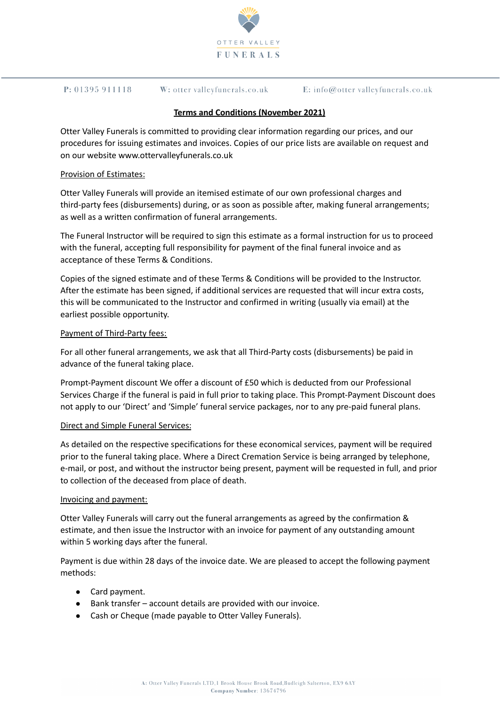

#### $P: 01395911118$ W: otter valleyfunerals.co.uk

E: info@otter valleyfunerals.co.uk

## **Terms and Conditions (November 2021)**

Otter Valley Funerals is committed to providing clear information regarding our prices, and our procedures for issuing estimates and invoices. Copies of our price lists are available on request and on our website www.ottervalleyfunerals.co.uk

### Provision of Estimates:

Otter Valley Funerals will provide an itemised estimate of our own professional charges and third-party fees (disbursements) during, or as soon as possible after, making funeral arrangements; as well as a written confirmation of funeral arrangements.

The Funeral Instructor will be required to sign this estimate as a formal instruction for us to proceed with the funeral, accepting full responsibility for payment of the final funeral invoice and as acceptance of these Terms & Conditions.

Copies of the signed estimate and of these Terms & Conditions will be provided to the Instructor. After the estimate has been signed, if additional services are requested that will incur extra costs, this will be communicated to the Instructor and confirmed in writing (usually via email) at the earliest possible opportunity.

## Payment of Third-Party fees:

For all other funeral arrangements, we ask that all Third-Party costs (disbursements) be paid in advance of the funeral taking place.

Prompt-Payment discount We offer a discount of £50 which is deducted from our Professional Services Charge if the funeral is paid in full prior to taking place. This Prompt-Payment Discount does not apply to our 'Direct' and 'Simple' funeral service packages, nor to any pre-paid funeral plans.

### Direct and Simple Funeral Services:

As detailed on the respective specifications for these economical services, payment will be required prior to the funeral taking place. Where a Direct Cremation Service is being arranged by telephone, e-mail, or post, and without the instructor being present, payment will be requested in full, and prior to collection of the deceased from place of death.

### Invoicing and payment:

Otter Valley Funerals will carry out the funeral arrangements as agreed by the confirmation & estimate, and then issue the Instructor with an invoice for payment of any outstanding amount within 5 working days after the funeral.

Payment is due within 28 days of the invoice date. We are pleased to accept the following payment methods:

- Card payment.
- Bank transfer account details are provided with our invoice.
- Cash or Cheque (made payable to Otter Valley Funerals).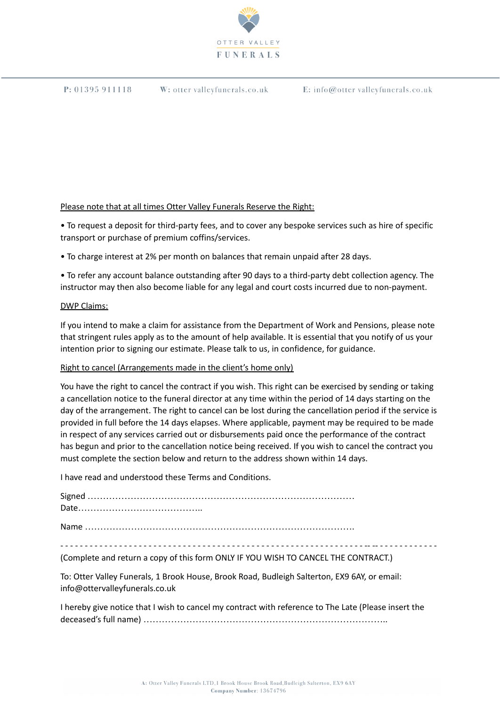

W: otter valleyfunerals.co.uk

E: info@otter valleyfunerals.co.uk

## Please note that at all times Otter Valley Funerals Reserve the Right:

• To request a deposit for third-party fees, and to cover any bespoke services such as hire of specific transport or purchase of premium coffins/services.

• To charge interest at 2% per month on balances that remain unpaid after 28 days.

• To refer any account balance outstanding after 90 days to a third-party debt collection agency. The instructor may then also become liable for any legal and court costs incurred due to non-payment.

### DWP Claims:

If you intend to make a claim for assistance from the Department of Work and Pensions, please note that stringent rules apply as to the amount of help available. It is essential that you notify of us your intention prior to signing our estimate. Please talk to us, in confidence, for guidance.

# Right to cancel (Arrangements made in the client's home only)

You have the right to cancel the contract if you wish. This right can be exercised by sending or taking a cancellation notice to the funeral director at any time within the period of 14 days starting on the day of the arrangement. The right to cancel can be lost during the cancellation period if the service is provided in full before the 14 days elapses. Where applicable, payment may be required to be made in respect of any services carried out or disbursements paid once the performance of the contract has begun and prior to the cancellation notice being received. If you wish to cancel the contract you must complete the section below and return to the address shown within 14 days.

I have read and understood these Terms and Conditions.

Signed …………………………………………………………………………… Date………………………………….. Name …………………………………………………………………………….

(Complete and return a copy of this form ONLY IF YOU WISH TO CANCEL THE CONTRACT.)

To: Otter Valley Funerals, 1 Brook House, Brook Road, Budleigh Salterton, EX9 6AY, or email: info@ottervalleyfunerals.co.uk

I hereby give notice that I wish to cancel my contract with reference to The Late (Please insert the deceased's full name) ……………………………………………………………………..